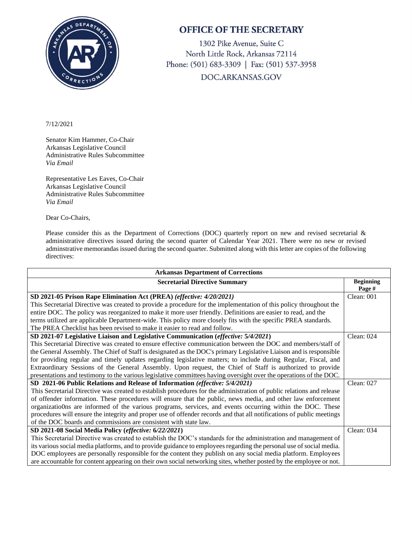

## **OFFICE OF THE SECRETARY**

1302 Pike Avenue, Suite C North Little Rock, Arkansas 72114 Phone: (501) 683-3309 | Fax: (501) 537-3958 DOC.ARKANSAS.GOV

## 7/12/2021

Senator Kim Hammer, Co-Chair Arkansas Legislative Council Administrative Rules Subcommittee *Via Email*

Representative Les Eaves, Co-Chair Arkansas Legislative Council Administrative Rules Subcommittee *Via Email*

Dear Co-Chairs,

Please consider this as the Department of Corrections (DOC) quarterly report on new and revised secretarial & administrative directives issued during the second quarter of Calendar Year 2021. There were no new or revised adminstrative memorandas issued during the second quarter. Submitted along with this letter are copies of the following directives:

| <b>Arkansas Department of Corrections</b>                                                                             |                            |
|-----------------------------------------------------------------------------------------------------------------------|----------------------------|
| <b>Secretarial Directive Summary</b>                                                                                  | <b>Beginning</b><br>Page # |
| SD 2021-05 Prison Rape Elimination Act (PREA) (effective: 4/20/2021)                                                  | Clean: 001                 |
| This Secretarial Directive was created to provide a procedure for the implementation of this policy throughout the    |                            |
| entire DOC. The policy was reorganized to make it more user friendly. Definitions are easier to read, and the         |                            |
| terms utilized are applicable Department-wide. This policy more closely fits with the specific PREA standards.        |                            |
| The PREA Checklist has been revised to make it easier to read and follow.                                             |                            |
| SD 2021-07 Legislative Liaison and Legislative Communication (effective: 5/4/2021)                                    | Clean: $024$               |
| This Secretarial Directive was created to ensure effective communication between the DOC and members/staff of         |                            |
| the General Assembly. The Chief of Staff is designated as the DOC's primary Legislative Liaison and is responsible    |                            |
| for providing regular and timely updates regarding legislative matters; to include during Regular, Fiscal, and        |                            |
| Extraordinary Sessions of the General Assembly. Upon request, the Chief of Staff is authorized to provide             |                            |
| presentations and testimony to the various legislative committees having oversight over the operations of the DOC.    |                            |
| SD 2021-06 Public Relations and Release of Information (effective: 5/4/2021)                                          | Clean: 027                 |
| This Secretarial Directive was created to establish procedures for the administration of public relations and release |                            |
| of offender information. These procedures will ensure that the public, news media, and other law enforcement          |                            |
| organizatio0ns are informed of the various programs, services, and events occurring within the DOC. These             |                            |
| procedures will ensure the integrity and proper use of offender records and that all notifications of public meetings |                            |
| of the DOC boards and commissions are consistent with state law.                                                      |                            |
| SD 2021-08 Social Media Policy (effective: 6/22/2021)                                                                 | Clean: 034                 |
| This Secretarial Directive was created to establish the DOC's standards for the administration and management of      |                            |
| its various social media platforms, and to provide guidance to employees regarding the personal use of social media.  |                            |
| DOC employees are personally responsible for the content they publish on any social media platform. Employees         |                            |
| are accountable for content appearing on their own social networking sites, whether posted by the employee or not.    |                            |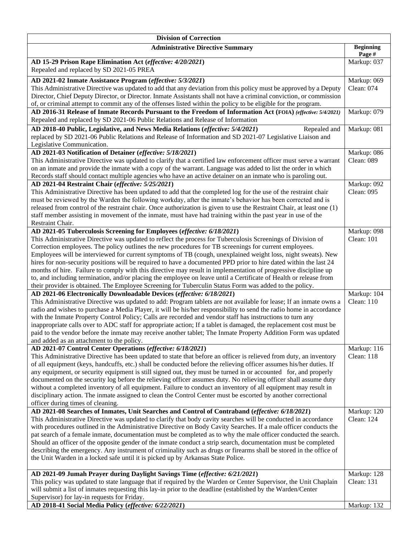| <b>Division of Correction</b>                                                                                                                                                                                                        |                            |  |
|--------------------------------------------------------------------------------------------------------------------------------------------------------------------------------------------------------------------------------------|----------------------------|--|
| <b>Administrative Directive Summary</b>                                                                                                                                                                                              | <b>Beginning</b><br>Page # |  |
| AD 15-29 Prison Rape Elimination Act (effective: 4/20/2021)                                                                                                                                                                          | Markup: 037                |  |
| Repealed and replaced by SD 2021-05 PREA                                                                                                                                                                                             |                            |  |
| AD 2021-02 Inmate Assistance Program (effective: 5/3/2021)                                                                                                                                                                           | Markup: 069                |  |
| This Administrative Directive was updated to add that any deviation from this policy must be approved by a Deputy                                                                                                                    | Clean: 074                 |  |
| Director, Chief Deputy Director, or Director. Inmate Assistants shall not have a criminal conviction, or commission                                                                                                                  |                            |  |
| of, or criminal attempt to commit any of the offenses listed within the policy to be eligible for the program.<br>AD 2016-31 Release of Inmate Records Pursuant to the Freedom of Information Act (FOIA) (effective: 5/4/2021)       | Markup: 079                |  |
| Repealed and replaced by SD 2021-06 Public Relations and Release of Information                                                                                                                                                      |                            |  |
| AD 2018-40 Public, Legislative, and News Media Relations (effective: 5/4/2021)<br>Repealed and                                                                                                                                       | Markup: 081                |  |
| replaced by SD 2021-06 Public Relations and Release of Information and SD 2021-07 Legislative Liaison and                                                                                                                            |                            |  |
| Legislative Communication.                                                                                                                                                                                                           |                            |  |
| AD 2021-03 Notification of Detainer (effective: 5/18/2021)                                                                                                                                                                           | Markup: 086                |  |
| This Administrative Directive was updated to clarify that a certified law enforcement officer must serve a warrant                                                                                                                   | Clean: 089                 |  |
| on an inmate and provide the inmate with a copy of the warrant. Language was added to list the order in which                                                                                                                        |                            |  |
| Records staff should contact multiple agencies who have an active detainer on an inmate who is paroling out.                                                                                                                         |                            |  |
| AD 2021-04 Restraint Chair (effective: 5/25/2021)<br>This Administrative Directive has been updated to add that the completed log for the use of the restraint chair                                                                 | Markup: 092<br>Clean: 095  |  |
| must be reviewed by the Warden the following workday, after the inmate's behavior has been corrected and is                                                                                                                          |                            |  |
| released from control of the restraint chair. Once authorization is given to use the Restraint Chair, at least one (1)                                                                                                               |                            |  |
| staff member assisting in movement of the inmate, must have had training within the past year in use of the                                                                                                                          |                            |  |
| Restraint Chair.                                                                                                                                                                                                                     |                            |  |
| AD 2021-05 Tuberculosis Screening for Employees (effective: 6/18/2021)                                                                                                                                                               | Markup: 098                |  |
| This Administrative Directive was updated to reflect the process for Tuberculosis Screenings of Division of                                                                                                                          | Clean: 101                 |  |
| Correction employees. The policy outlines the new procedures for TB screenings for current employees.<br>Employees will be interviewed for current symptoms of TB (cough, unexplained weight loss, night sweats). New                |                            |  |
| hires for non-security positions will be required to have a documented PPD prior to hire dated within the last 24                                                                                                                    |                            |  |
| months of hire. Failure to comply with this directive may result in implementation of progressive discipline up                                                                                                                      |                            |  |
| to, and including termination, and/or placing the employee on leave until a Certificate of Health or release from                                                                                                                    |                            |  |
| their provider is obtained. The Employee Screening for Tuberculin Status Form was added to the policy.                                                                                                                               |                            |  |
| AD 2021-06 Electronically Downloadable Devices (effective: 6/18/2021)                                                                                                                                                                | Markup: 104                |  |
| This Administrative Directive was updated to add: Program tablets are not available for lease; If an inmate owns a                                                                                                                   | Clean: 110                 |  |
| radio and wishes to purchase a Media Player, it will be his/her responsibility to send the radio home in accordance<br>with the Inmate Property Control Policy; Calls are recorded and vendor staff has instructions to turn any     |                            |  |
| inappropriate calls over to ADC staff for appropriate action; If a tablet is damaged, the replacement cost must be                                                                                                                   |                            |  |
| paid to the vendor before the inmate may receive another tablet; The Inmate Property Addition Form was updated                                                                                                                       |                            |  |
| and added as an attachment to the policy.                                                                                                                                                                                            |                            |  |
| AD 2021-07 Control Center Operations (effective: 6/18/2021)                                                                                                                                                                          | Markup: 116                |  |
| This Administrative Directive has been updated to state that before an officer is relieved from duty, an inventory                                                                                                                   | Clean: 118                 |  |
| of all equipment (keys, handcuffs, etc.) shall be conducted before the relieving officer assumes his/her duties. If                                                                                                                  |                            |  |
| any equipment, or security equipment is still signed out, they must be turned in or accounted for, and properly                                                                                                                      |                            |  |
| documented on the security log before the relieving officer assumes duty. No relieving officer shall assume duty<br>without a completed inventory of all equipment. Failure to conduct an inventory of all equipment may result in   |                            |  |
| disciplinary action. The inmate assigned to clean the Control Center must be escorted by another correctional                                                                                                                        |                            |  |
| officer during times of cleaning.                                                                                                                                                                                                    |                            |  |
| AD 2021-08 Searches of Inmates, Unit Searches and Control of Contraband (effective: 6/18/2021)                                                                                                                                       | Markup: 120                |  |
| This Administrative Directive was updated to clarify that body cavity searches will be conducted in accordance                                                                                                                       | Clean: 124                 |  |
| with procedures outlined in the Administrative Directive on Body Cavity Searches. If a male officer conducts the                                                                                                                     |                            |  |
| pat search of a female inmate, documentation must be completed as to why the male officer conducted the search.                                                                                                                      |                            |  |
| Should an officer of the opposite gender of the inmate conduct a strip search, documentation must be completed<br>describing the emergency. Any instrument of criminality such as drugs or firearms shall be stored in the office of |                            |  |
| the Unit Warden in a locked safe until it is picked up by Arkansas State Police.                                                                                                                                                     |                            |  |
|                                                                                                                                                                                                                                      |                            |  |
| AD 2021-09 Jumah Prayer during Daylight Savings Time (effective: 6/21/2021)                                                                                                                                                          | Markup: 128                |  |
| This policy was updated to state language that if required by the Warden or Center Supervisor, the Unit Chaplain                                                                                                                     | Clean: 131                 |  |
| will submit a list of inmates requesting this lay-in prior to the deadline (established by the Warden/Center                                                                                                                         |                            |  |
| Supervisor) for lay-in requests for Friday.                                                                                                                                                                                          |                            |  |
| AD 2018-41 Social Media Policy (effective: 6/22/2021)                                                                                                                                                                                | Markup: 132                |  |